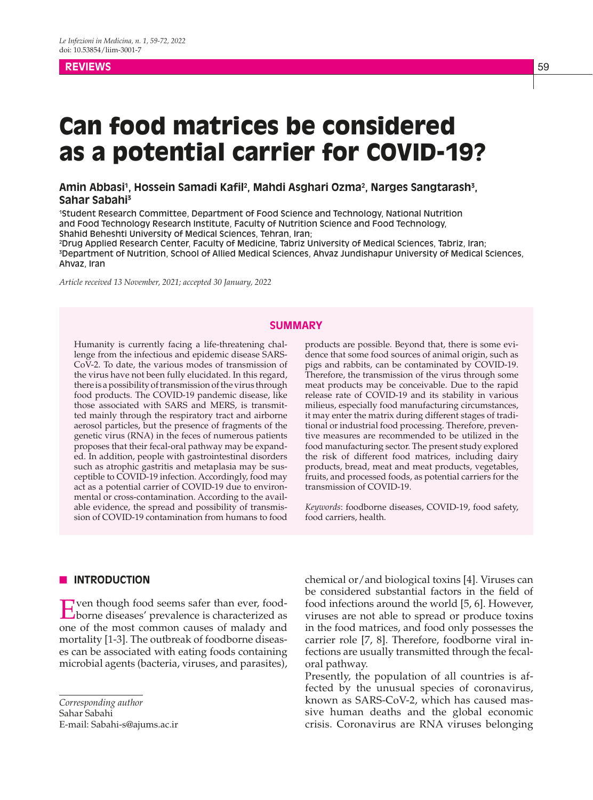## **REVIEWS** 59

# Can food matrices be considered as a potential carrier for COVID-19?

Amin Abbasi<sup>1</sup>, Hossein Samadi Kafil<sup>2</sup>, Mahdi Asghari Ozma<sup>2</sup>, Narges Sangtarash<sup>3</sup>, **Sahar Sabahi3**

1 Student Research Committee, Department of Food Science and Technology, National Nutrition and Food Technology Research Institute, Faculty of Nutrition Science and Food Technology, Shahid Beheshti University of Medical Sciences, Tehran, Iran;

2 Drug Applied Research Center, Faculty of Medicine, Tabriz University of Medical Sciences, Tabriz, Iran; 3 Department of Nutrition, School of Allied Medical Sciences, Ahvaz Jundishapur University of Medical Sciences, Ahvaz, Iran

*Article received 13 November, 2021; accepted 30 January, 2022*

#### **SUMMARY**

Humanity is currently facing a life-threatening challenge from the infectious and epidemic disease SARS-CoV-2. To date, the various modes of transmission of the virus have not been fully elucidated. In this regard, there is a possibility of transmission of the virus through food products. The COVID-19 pandemic disease, like those associated with SARS and MERS, is transmitted mainly through the respiratory tract and airborne aerosol particles, but the presence of fragments of the genetic virus (RNA) in the feces of numerous patients proposes that their fecal-oral pathway may be expanded. In addition, people with gastrointestinal disorders such as atrophic gastritis and metaplasia may be susceptible to COVID-19 infection. Accordingly, food may act as a potential carrier of COVID-19 due to environmental or cross-contamination. According to the available evidence, the spread and possibility of transmission of COVID-19 contamination from humans to food products are possible. Beyond that, there is some evidence that some food sources of animal origin, such as pigs and rabbits, can be contaminated by COVID-19. Therefore, the transmission of the virus through some meat products may be conceivable. Due to the rapid release rate of COVID-19 and its stability in various milieus, especially food manufacturing circumstances, it may enter the matrix during different stages of traditional or industrial food processing. Therefore, preventive measures are recommended to be utilized in the food manufacturing sector. The present study explored the risk of different food matrices, including dairy products, bread, meat and meat products, vegetables, fruits, and processed foods, as potential carriers for the transmission of COVID-19.

*Keywords*: foodborne diseases, COVID-19, food safety, food carriers, health.

#### **N INTRODUCTION**

Even though food seems safer than ever, food-borne diseases' prevalence is characterized as one of the most common causes of malady and mortality [1-3]. The outbreak of foodborne diseases can be associated with eating foods containing microbial agents (bacteria, viruses, and parasites),

*Corresponding author* Sahar Sabahi E-mail: Sabahi-s@ajums.ac.ir chemical or/and biological toxins [4]. Viruses can be considered substantial factors in the field of food infections around the world [5, 6]. However, viruses are not able to spread or produce toxins in the food matrices, and food only possesses the carrier role [7, 8]. Therefore, foodborne viral infections are usually transmitted through the fecaloral pathway.

Presently, the population of all countries is affected by the unusual species of coronavirus, known as SARS-CoV-2, which has caused massive human deaths and the global economic crisis. Coronavirus are RNA viruses belonging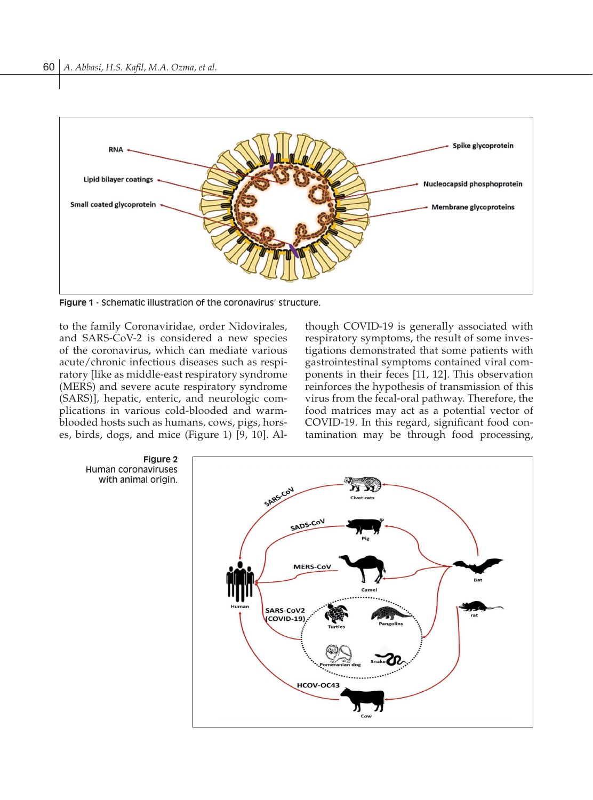

**Figure 1** - Schematic illustration of the coronavirus' structure.

to the family Coronaviridae, order Nidovirales, and SARS-CoV-2 is considered a new species of the coronavirus, which can mediate various acute/chronic infectious diseases such as respiratory [like as middle-east respiratory syndrome (MERS) and severe acute respiratory syndrome (SARS)], hepatic, enteric, and neurologic complications in various cold-blooded and warmblooded hosts such as humans, cows, pigs, horses, birds, dogs, and mice (Figure 1) [9, 10]. Although COVID-19 is generally associated with respiratory symptoms, the result of some investigations demonstrated that some patients with gastrointestinal symptoms contained viral components in their feces [11, 12]. This observation reinforces the hypothesis of transmission of this virus from the fecal-oral pathway. Therefore, the food matrices may act as a potential vector of COVID-19. In this regard, significant food contamination may be through food processing,

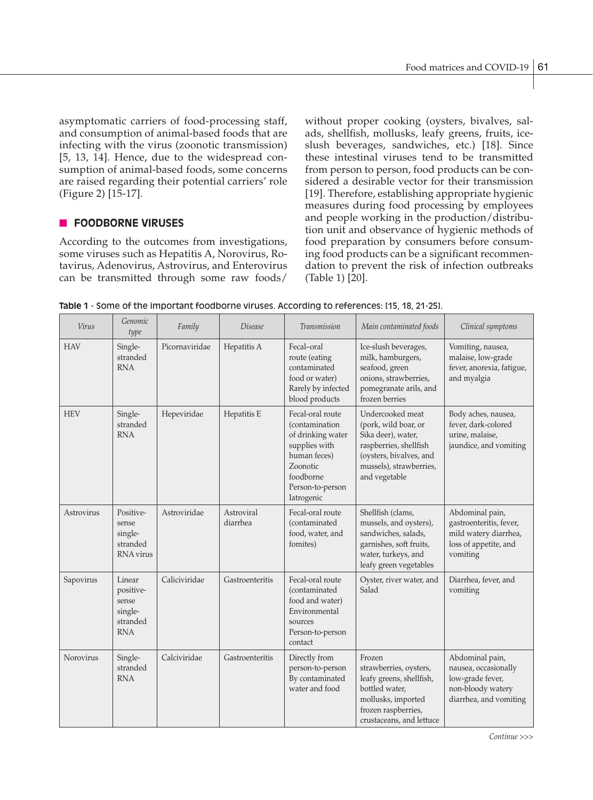asymptomatic carriers of food-processing staff, and consumption of animal-based foods that are infecting with the virus (zoonotic transmission) [5, 13, 14]. Hence, due to the widespread consumption of animal-based foods, some concerns are raised regarding their potential carriers' role (Figure 2) [15-17].

## **FOODBORNE VIRUSES**

According to the outcomes from investigations, some viruses such as Hepatitis A, Norovirus, Rotavirus, Adenovirus, Astrovirus, and Enterovirus can be transmitted through some raw foods/

without proper cooking (oysters, bivalves, salads, shellfish, mollusks, leafy greens, fruits, iceslush beverages, sandwiches, etc.) [18]. Since these intestinal viruses tend to be transmitted from person to person, food products can be considered a desirable vector for their transmission [19]. Therefore, establishing appropriate hygienic measures during food processing by employees and people working in the production/distribution unit and observance of hygienic methods of food preparation by consumers before consuming food products can be a significant recommendation to prevent the risk of infection outbreaks (Table 1) [20].

| Table 1 - Some of the important foodborne viruses. According to references: [15, 18, 21-25]. |  |
|----------------------------------------------------------------------------------------------|--|
|----------------------------------------------------------------------------------------------|--|

| Virus      | Genomic<br>type                                                   | Family         | <i>Disease</i>         | <b>Transmission</b>                                                                                                                                 | Main contaminated foods                                                                                                                                         | Clinical symptoms                                                                                          |
|------------|-------------------------------------------------------------------|----------------|------------------------|-----------------------------------------------------------------------------------------------------------------------------------------------------|-----------------------------------------------------------------------------------------------------------------------------------------------------------------|------------------------------------------------------------------------------------------------------------|
| <b>HAV</b> | Single-<br>stranded<br><b>RNA</b>                                 | Picornaviridae | Hepatitis A            | Fecal-oral<br>route (eating<br>contaminated<br>food or water)<br>Rarely by infected<br>blood products                                               | Ice-slush beverages,<br>milk, hamburgers,<br>seafood, green<br>onions, strawberries,<br>pomegranate arils, and<br>frozen berries                                | Vomiting, nausea,<br>malaise, low-grade<br>fever, anorexia, fatigue,<br>and myalgia                        |
| <b>HEV</b> | Single-<br>stranded<br><b>RNA</b>                                 | Hepeviridae    | Hepatitis E            | Fecal-oral route<br>(contamination<br>of drinking water<br>supplies with<br>human feces)<br>Zoonotic<br>foodborne<br>Person-to-person<br>Iatrogenic | Undercooked meat<br>(pork, wild boar, or<br>Sika deer), water,<br>raspberries, shellfish<br>(oysters, bivalves, and<br>mussels), strawberries,<br>and vegetable | Body aches, nausea,<br>fever, dark-colored<br>urine, malaise,<br>jaundice, and vomiting                    |
| Astrovirus | Positive-<br>sense<br>single-<br>stranded<br>RNA virus            | Astroviridae   | Astroviral<br>diarrhea | Fecal-oral route<br>(contaminated<br>food, water, and<br>fomites)                                                                                   | Shellfish (clams,<br>mussels, and oysters),<br>sandwiches, salads,<br>garnishes, soft fruits,<br>water, turkeys, and<br>leafy green vegetables                  | Abdominal pain,<br>gastroenteritis, fever,<br>mild watery diarrhea,<br>loss of appetite, and<br>vomiting   |
| Sapovirus  | Linear<br>positive-<br>sense<br>single-<br>stranded<br><b>RNA</b> | Caliciviridae  | Gastroenteritis        | Fecal-oral route<br>(contaminated<br>food and water)<br>Environmental<br>sources<br>Person-to-person<br>contact                                     | Oyster, river water, and<br>Salad                                                                                                                               | Diarrhea, fever, and<br>vomiting                                                                           |
| Norovirus  | Single-<br>stranded<br><b>RNA</b>                                 | Calciviridae   | Gastroenteritis        | Directly from<br>person-to-person<br>By contaminated<br>water and food                                                                              | Frozen<br>strawberries, oysters,<br>leafy greens, shellfish,<br>bottled water.<br>mollusks, imported<br>frozen raspberries,<br>crustaceans, and lettuce         | Abdominal pain,<br>nausea, occasionally<br>low-grade fever,<br>non-bloody watery<br>diarrhea, and vomiting |

*Continue >>>*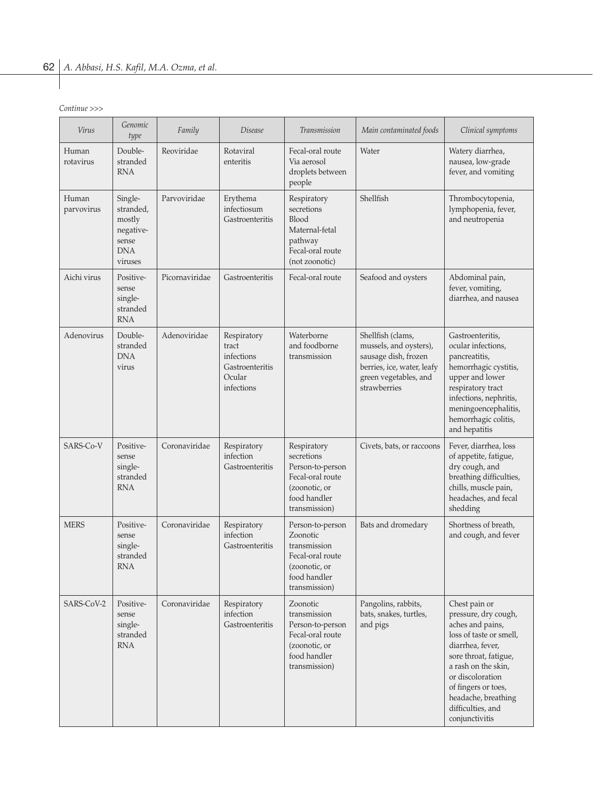*Continue >>>*

| Virus               | Genomic<br>type                                                        | Family         | Disease                                                                       | Transmission                                                                                                        | Main contaminated foods                                                                                                                    | Clinical symptoms                                                                                                                                                                                                                                                 |
|---------------------|------------------------------------------------------------------------|----------------|-------------------------------------------------------------------------------|---------------------------------------------------------------------------------------------------------------------|--------------------------------------------------------------------------------------------------------------------------------------------|-------------------------------------------------------------------------------------------------------------------------------------------------------------------------------------------------------------------------------------------------------------------|
| Human<br>rotavirus  | Double-<br>stranded<br><b>RNA</b>                                      | Reoviridae     | Rotaviral<br>enteritis                                                        | Fecal-oral route<br>Via aerosol<br>droplets between<br>people                                                       | Water                                                                                                                                      | Watery diarrhea,<br>nausea, low-grade<br>fever, and vomiting                                                                                                                                                                                                      |
| Human<br>parvovirus | Single-<br>stranded,<br>mostly<br>negative-<br>sense<br>DNA<br>viruses | Parvoviridae   | Erythema<br>infectiosum<br>Gastroenteritis                                    | Respiratory<br>secretions<br>Blood<br>Maternal-fetal<br>pathway<br>Fecal-oral route<br>(not zoonotic)               | Shellfish                                                                                                                                  | Thrombocytopenia,<br>lymphopenia, fever,<br>and neutropenia                                                                                                                                                                                                       |
| Aichi virus         | Positive-<br>sense<br>single-<br>stranded<br><b>RNA</b>                | Picornaviridae | Gastroenteritis                                                               | Fecal-oral route                                                                                                    | Seafood and oysters                                                                                                                        | Abdominal pain,<br>fever, vomiting,<br>diarrhea, and nausea                                                                                                                                                                                                       |
| Adenovirus          | Double-<br>stranded<br><b>DNA</b><br>virus                             | Adenoviridae   | Respiratory<br>tract<br>infections<br>Gastroenteritis<br>Ocular<br>infections | Waterborne<br>and foodborne<br>transmission                                                                         | Shellfish (clams,<br>mussels, and oysters),<br>sausage dish, frozen<br>berries, ice, water, leafy<br>green vegetables, and<br>strawberries | Gastroenteritis,<br>ocular infections,<br>pancreatitis,<br>hemorrhagic cystitis,<br>upper and lower<br>respiratory tract<br>infections, nephritis,<br>meningoencephalitis,<br>hemorrhagic colitis,<br>and hepatitis                                               |
| SARS-Co-V           | Positive-<br>sense<br>single-<br>stranded<br><b>RNA</b>                | Coronaviridae  | Respiratory<br>infection<br>Gastroenteritis                                   | Respiratory<br>secretions<br>Person-to-person<br>Fecal-oral route<br>(zoonotic, or<br>food handler<br>transmission) | Civets, bats, or raccoons                                                                                                                  | Fever, diarrhea, loss<br>of appetite, fatigue,<br>dry cough, and<br>breathing difficulties,<br>chills, muscle pain,<br>headaches, and fecal<br>shedding                                                                                                           |
| <b>MERS</b>         | Positive-<br>sense<br>single-<br>stranded<br><b>RNA</b>                | Coronaviridae  | Respiratory<br>infection<br>Gastroenteritis                                   | Person-to-person<br>Zoonotic<br>transmission<br>Fecal-oral route<br>(zoonotic, or<br>food handler<br>transmission)  | Bats and dromedary                                                                                                                         | Shortness of breath,<br>and cough, and fever                                                                                                                                                                                                                      |
| SARS-CoV-2          | Positive-<br>sense<br>single-<br>stranded<br><b>RNA</b>                | Coronaviridae  | Respiratory<br>infection<br>Gastroenteritis                                   | Zoonotic<br>transmission<br>Person-to-person<br>Fecal-oral route<br>(zoonotic, or<br>food handler<br>transmission)  | Pangolins, rabbits,<br>bats, snakes, turtles,<br>and pigs                                                                                  | Chest pain or<br>pressure, dry cough,<br>aches and pains,<br>loss of taste or smell,<br>diarrhea, fever,<br>sore throat, fatigue,<br>a rash on the skin,<br>or discoloration<br>of fingers or toes,<br>headache, breathing<br>difficulties, and<br>conjunctivitis |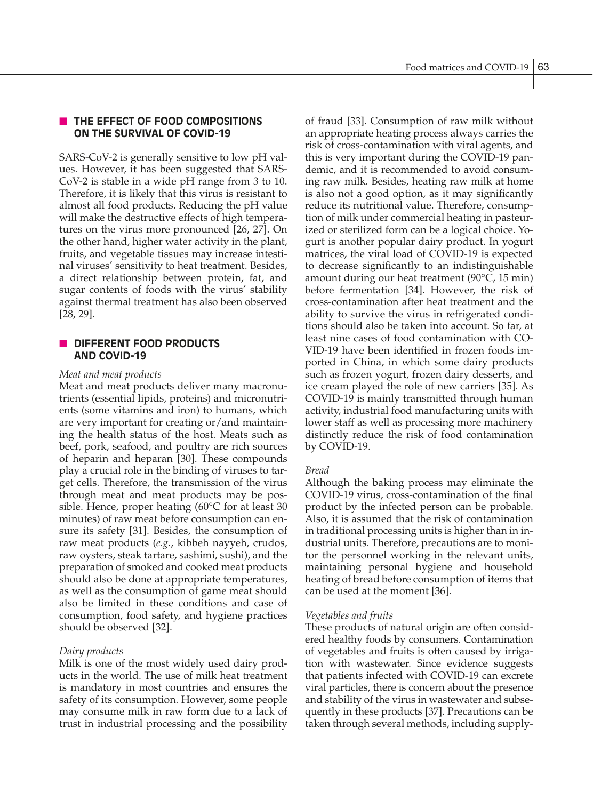# **N THE EFFECT OF FOOD COMPOSITIONS ON THE SURVIVAL OF COVID-19**

SARS-CoV-2 is generally sensitive to low pH values. However, it has been suggested that SARS-CoV-2 is stable in a wide pH range from 3 to 10. Therefore, it is likely that this virus is resistant to almost all food products. Reducing the pH value will make the destructive effects of high temperatures on the virus more pronounced [26, 27]. On the other hand, higher water activity in the plant, fruits, and vegetable tissues may increase intestinal viruses' sensitivity to heat treatment. Besides, a direct relationship between protein, fat, and sugar contents of foods with the virus' stability against thermal treatment has also been observed [28, 29].

## **N** DIFFERENT FOOD PRODUCTS **AND COVID-19**

#### *Meat and meat products*

Meat and meat products deliver many macronutrients (essential lipids, proteins) and micronutrients (some vitamins and iron) to humans, which are very important for creating or/and maintaining the health status of the host. Meats such as beef, pork, seafood, and poultry are rich sources of heparin and heparan [30]. These compounds play a crucial role in the binding of viruses to target cells. Therefore, the transmission of the virus through meat and meat products may be possible. Hence, proper heating (60°C for at least 30 minutes) of raw meat before consumption can ensure its safety [31]. Besides, the consumption of raw meat products (*e.g.*, kibbeh nayyeh, crudos, raw oysters, steak tartare, sashimi, sushi), and the preparation of smoked and cooked meat products should also be done at appropriate temperatures, as well as the consumption of game meat should also be limited in these conditions and case of consumption, food safety, and hygiene practices should be observed [32].

## *Dairy products*

Milk is one of the most widely used dairy products in the world. The use of milk heat treatment is mandatory in most countries and ensures the safety of its consumption. However, some people may consume milk in raw form due to a lack of trust in industrial processing and the possibility of fraud [33]. Consumption of raw milk without an appropriate heating process always carries the risk of cross-contamination with viral agents, and this is very important during the COVID-19 pandemic, and it is recommended to avoid consuming raw milk. Besides, heating raw milk at home is also not a good option, as it may significantly reduce its nutritional value. Therefore, consumption of milk under commercial heating in pasteurized or sterilized form can be a logical choice. Yogurt is another popular dairy product. In yogurt matrices, the viral load of COVID-19 is expected to decrease significantly to an indistinguishable amount during our heat treatment (90°C, 15 min) before fermentation [34]. However, the risk of cross-contamination after heat treatment and the ability to survive the virus in refrigerated conditions should also be taken into account. So far, at least nine cases of food contamination with CO-VID-19 have been identified in frozen foods imported in China, in which some dairy products such as frozen yogurt, frozen dairy desserts, and ice cream played the role of new carriers [35]. As COVID-19 is mainly transmitted through human activity, industrial food manufacturing units with lower staff as well as processing more machinery distinctly reduce the risk of food contamination by COVID-19.

## *Bread*

Although the baking process may eliminate the COVID-19 virus, cross-contamination of the final product by the infected person can be probable. Also, it is assumed that the risk of contamination in traditional processing units is higher than in industrial units. Therefore, precautions are to monitor the personnel working in the relevant units, maintaining personal hygiene and household heating of bread before consumption of items that can be used at the moment [36].

## *Vegetables and fruits*

These products of natural origin are often considered healthy foods by consumers. Contamination of vegetables and fruits is often caused by irrigation with wastewater. Since evidence suggests that patients infected with COVID-19 can excrete viral particles, there is concern about the presence and stability of the virus in wastewater and subsequently in these products [37]. Precautions can be taken through several methods, including supply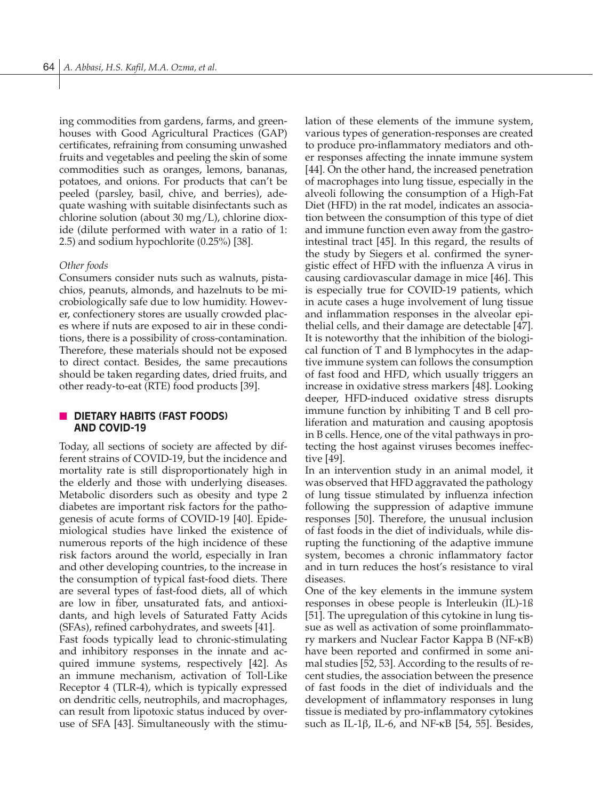ing commodities from gardens, farms, and greenhouses with Good Agricultural Practices (GAP) certificates, refraining from consuming unwashed fruits and vegetables and peeling the skin of some commodities such as oranges, lemons, bananas, potatoes, and onions. For products that can't be peeled (parsley, basil, chive, and berries), adequate washing with suitable disinfectants such as chlorine solution (about 30 mg/L), chlorine dioxide (dilute performed with water in a ratio of 1: 2.5) and sodium hypochlorite (0.25%) [38].

#### *Other foods*

Consumers consider nuts such as walnuts, pistachios, peanuts, almonds, and hazelnuts to be microbiologically safe due to low humidity. However, confectionery stores are usually crowded places where if nuts are exposed to air in these conditions, there is a possibility of cross-contamination. Therefore, these materials should not be exposed to direct contact. Besides, the same precautions should be taken regarding dates, dried fruits, and other ready-to-eat (RTE) food products [39].

## **N DIETARY HABITS (FAST FOODS) AND COVID-19**

Today, all sections of society are affected by different strains of COVID-19, but the incidence and mortality rate is still disproportionately high in the elderly and those with underlying diseases. Metabolic disorders such as obesity and type 2 diabetes are important risk factors for the pathogenesis of acute forms of COVID-19 [40]. Epidemiological studies have linked the existence of numerous reports of the high incidence of these risk factors around the world, especially in Iran and other developing countries, to the increase in the consumption of typical fast-food diets. There are several types of fast-food diets, all of which are low in fiber, unsaturated fats, and antioxidants, and high levels of Saturated Fatty Acids (SFAs), refined carbohydrates, and sweets [41].

Fast foods typically lead to chronic-stimulating and inhibitory responses in the innate and acquired immune systems, respectively [42]. As an immune mechanism, activation of Toll-Like Receptor 4 (TLR-4), which is typically expressed on dendritic cells, neutrophils, and macrophages, can result from lipotoxic status induced by overuse of SFA [43]. Simultaneously with the stimulation of these elements of the immune system, various types of generation-responses are created to produce pro-inflammatory mediators and other responses affecting the innate immune system [44]. On the other hand, the increased penetration of macrophages into lung tissue, especially in the alveoli following the consumption of a High-Fat Diet (HFD) in the rat model, indicates an association between the consumption of this type of diet and immune function even away from the gastrointestinal tract [45]. In this regard, the results of the study by Siegers et al. confirmed the synergistic effect of HFD with the influenza A virus in causing cardiovascular damage in mice [46]. This is especially true for COVID-19 patients, which in acute cases a huge involvement of lung tissue and inflammation responses in the alveolar epithelial cells, and their damage are detectable [47]. It is noteworthy that the inhibition of the biological function of T and B lymphocytes in the adaptive immune system can follows the consumption of fast food and HFD, which usually triggers an increase in oxidative stress markers [48]. Looking deeper, HFD-induced oxidative stress disrupts immune function by inhibiting T and B cell proliferation and maturation and causing apoptosis in B cells. Hence, one of the vital pathways in protecting the host against viruses becomes ineffective [49].

In an intervention study in an animal model, it was observed that HFD aggravated the pathology of lung tissue stimulated by influenza infection following the suppression of adaptive immune responses [50]. Therefore, the unusual inclusion of fast foods in the diet of individuals, while disrupting the functioning of the adaptive immune system, becomes a chronic inflammatory factor and in turn reduces the host's resistance to viral diseases.

One of the key elements in the immune system responses in obese people is Interleukin (IL)-1ß [51]. The upregulation of this cytokine in lung tissue as well as activation of some proinflammatory markers and Nuclear Factor Kappa B (NF-κB) have been reported and confirmed in some animal studies [52, 53]. According to the results of recent studies, the association between the presence of fast foods in the diet of individuals and the development of inflammatory responses in lung tissue is mediated by pro-inflammatory cytokines such as IL-1β, IL-6, and NF-κB [54, 55]. Besides,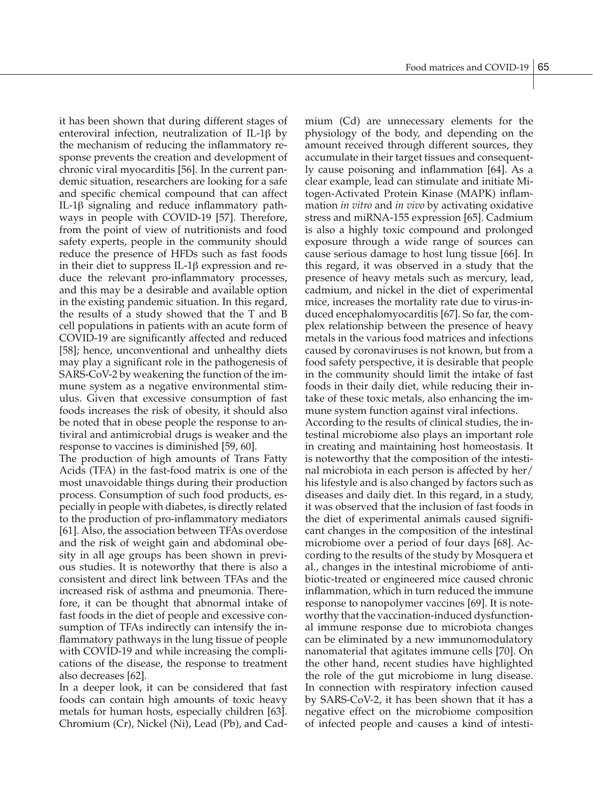it has been shown that during different stages of enteroviral infection, neutralization of IL-1β by the mechanism of reducing the inflammatory response prevents the creation and development of chronic viral myocarditis [56]. In the current pandemic situation, researchers are looking for a safe and specific chemical compound that can affect IL-1β signaling and reduce inflammatory pathways in people with COVID-19 [57]. Therefore, from the point of view of nutritionists and food safety experts, people in the community should reduce the presence of HFDs such as fast foods in their diet to suppress IL-1β expression and reduce the relevant pro-inflammatory processes, and this may be a desirable and available option in the existing pandemic situation. In this regard, the results of a study showed that the T and B cell populations in patients with an acute form of COVID-19 are significantly affected and reduced [58]; hence, unconventional and unhealthy diets may play a significant role in the pathogenesis of SARS-CoV-2 by weakening the function of the immune system as a negative environmental stimulus. Given that excessive consumption of fast foods increases the risk of obesity, it should also be noted that in obese people the response to antiviral and antimicrobial drugs is weaker and the response to vaccines is diminished [59, 60].

The production of high amounts of Trans Fatty Acids (TFA) in the fast-food matrix is one of the most unavoidable things during their production process. Consumption of such food products, especially in people with diabetes, is directly related to the production of pro-inflammatory mediators [61]. Also, the association between TFAs overdose and the risk of weight gain and abdominal obesity in all age groups has been shown in previous studies. It is noteworthy that there is also a consistent and direct link between TFAs and the increased risk of asthma and pneumonia. Therefore, it can be thought that abnormal intake of fast foods in the diet of people and excessive consumption of TFAs indirectly can intensify the inflammatory pathways in the lung tissue of people with COVID-19 and while increasing the complications of the disease, the response to treatment also decreases [62].

In a deeper look, it can be considered that fast foods can contain high amounts of toxic heavy metals for human hosts, especially children [63]. Chromium (Cr), Nickel (Ni), Lead (Pb), and Cadmium (Cd) are unnecessary elements for the physiology of the body, and depending on the amount received through different sources, they accumulate in their target tissues and consequently cause poisoning and inflammation [64]. As a clear example, lead can stimulate and initiate Mitogen-Activated Protein Kinase (MAPK) inflammation *in vitro* and *in vivo* by activating oxidative stress and miRNA-155 expression [65]. Cadmium is also a highly toxic compound and prolonged exposure through a wide range of sources can cause serious damage to host lung tissue [66]. In this regard, it was observed in a study that the presence of heavy metals such as mercury, lead, cadmium, and nickel in the diet of experimental mice, increases the mortality rate due to virus-induced encephalomyocarditis [67]. So far, the complex relationship between the presence of heavy metals in the various food matrices and infections caused by coronaviruses is not known, but from a food safety perspective, it is desirable that people in the community should limit the intake of fast foods in their daily diet, while reducing their intake of these toxic metals, also enhancing the immune system function against viral infections.

According to the results of clinical studies, the intestinal microbiome also plays an important role in creating and maintaining host homeostasis. It is noteworthy that the composition of the intestinal microbiota in each person is affected by her/ his lifestyle and is also changed by factors such as diseases and daily diet. In this regard, in a study, it was observed that the inclusion of fast foods in the diet of experimental animals caused significant changes in the composition of the intestinal microbiome over a period of four days [68]. According to the results of the study by Mosquera et al., changes in the intestinal microbiome of antibiotic-treated or engineered mice caused chronic inflammation, which in turn reduced the immune response to nanopolymer vaccines [69]. It is noteworthy that the vaccination-induced dysfunctional immune response due to microbiota changes can be eliminated by a new immunomodulatory nanomaterial that agitates immune cells [70]. On the other hand, recent studies have highlighted the role of the gut microbiome in lung disease. In connection with respiratory infection caused by SARS-CoV-2, it has been shown that it has a negative effect on the microbiome composition of infected people and causes a kind of intesti-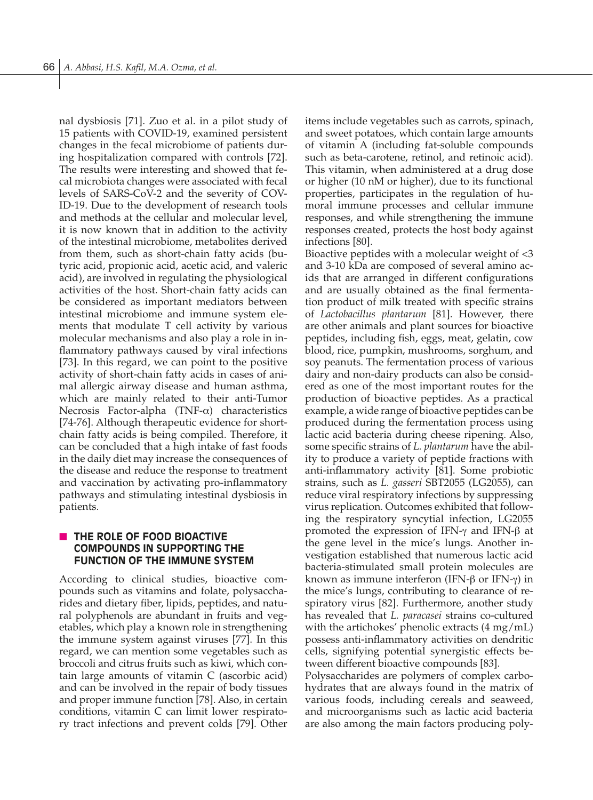nal dysbiosis [71]. Zuo et al. in a pilot study of 15 patients with COVID-19, examined persistent changes in the fecal microbiome of patients during hospitalization compared with controls [72]. The results were interesting and showed that fecal microbiota changes were associated with fecal levels of SARS-CoV-2 and the severity of COV-ID-19. Due to the development of research tools and methods at the cellular and molecular level, it is now known that in addition to the activity of the intestinal microbiome, metabolites derived from them, such as short-chain fatty acids (butyric acid, propionic acid, acetic acid, and valeric acid), are involved in regulating the physiological activities of the host. Short-chain fatty acids can be considered as important mediators between intestinal microbiome and immune system elements that modulate T cell activity by various molecular mechanisms and also play a role in inflammatory pathways caused by viral infections [73]. In this regard, we can point to the positive activity of short-chain fatty acids in cases of animal allergic airway disease and human asthma, which are mainly related to their anti-Tumor Necrosis Factor-alpha (TNF- $\alpha$ ) characteristics [74-76]. Although therapeutic evidence for shortchain fatty acids is being compiled. Therefore, it can be concluded that a high intake of fast foods in the daily diet may increase the consequences of the disease and reduce the response to treatment and vaccination by activating pro-inflammatory pathways and stimulating intestinal dysbiosis in patients.

# **N THE ROLE OF FOOD BIOACTIVE COMPOUNDS IN SUPPORTING THE FUNCTION OF THE IMMUNE SYSTEM**

According to clinical studies, bioactive compounds such as vitamins and folate, polysaccharides and dietary fiber, lipids, peptides, and natural polyphenols are abundant in fruits and vegetables, which play a known role in strengthening the immune system against viruses [77]. In this regard, we can mention some vegetables such as broccoli and citrus fruits such as kiwi, which contain large amounts of vitamin C (ascorbic acid) and can be involved in the repair of body tissues and proper immune function [78]. Also, in certain conditions, vitamin C can limit lower respiratory tract infections and prevent colds [79]. Other items include vegetables such as carrots, spinach, and sweet potatoes, which contain large amounts of vitamin A (including fat-soluble compounds such as beta-carotene, retinol, and retinoic acid). This vitamin, when administered at a drug dose or higher (10 nM or higher), due to its functional properties, participates in the regulation of humoral immune processes and cellular immune responses, and while strengthening the immune responses created, protects the host body against infections [80].

Bioactive peptides with a molecular weight of <3 and 3-10 kDa are composed of several amino acids that are arranged in different configurations and are usually obtained as the final fermentation product of milk treated with specific strains of *Lactobacillus plantarum* [81]. However, there are other animals and plant sources for bioactive peptides, including fish, eggs, meat, gelatin, cow blood, rice, pumpkin, mushrooms, sorghum, and soy peanuts. The fermentation process of various dairy and non-dairy products can also be considered as one of the most important routes for the production of bioactive peptides. As a practical example, a wide range of bioactive peptides can be produced during the fermentation process using lactic acid bacteria during cheese ripening. Also, some specific strains of *L. plantarum* have the ability to produce a variety of peptide fractions with anti-inflammatory activity [81]. Some probiotic strains, such as *L. gasseri* SBT2055 (LG2055), can reduce viral respiratory infections by suppressing virus replication. Outcomes exhibited that following the respiratory syncytial infection, LG2055 promoted the expression of IFN-γ and IFN-β at the gene level in the mice's lungs. Another investigation established that numerous lactic acid bacteria-stimulated small protein molecules are known as immune interferon (IFN-β or IFN-γ) in the mice's lungs, contributing to clearance of respiratory virus [82]. Furthermore, another study has revealed that *L. paracasei* strains co-cultured with the artichokes' phenolic extracts (4 mg/mL) possess anti-inflammatory activities on dendritic cells, signifying potential synergistic effects between different bioactive compounds [83].

Polysaccharides are polymers of complex carbohydrates that are always found in the matrix of various foods, including cereals and seaweed, and microorganisms such as lactic acid bacteria are also among the main factors producing poly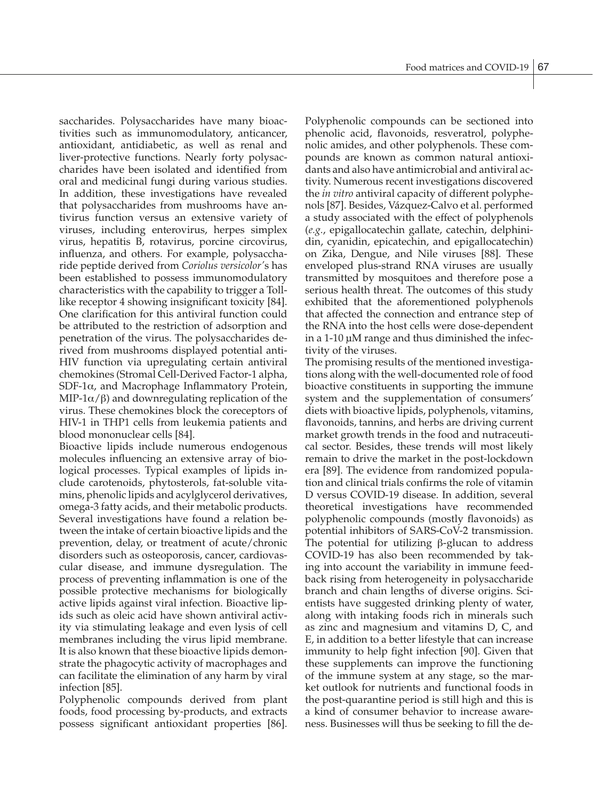saccharides. Polysaccharides have many bioactivities such as immunomodulatory, anticancer, antioxidant, antidiabetic, as well as renal and liver-protective functions. Nearly forty polysaccharides have been isolated and identified from oral and medicinal fungi during various studies. In addition, these investigations have revealed that polysaccharides from mushrooms have antivirus function versus an extensive variety of viruses, including enterovirus, herpes simplex virus, hepatitis B, rotavirus, porcine circovirus, influenza, and others. For example, polysaccharide peptide derived from *Coriolus versicolor'*s has been established to possess immunomodulatory characteristics with the capability to trigger a Tolllike receptor 4 showing insignificant toxicity [84]. One clarification for this antiviral function could be attributed to the restriction of adsorption and penetration of the virus. The polysaccharides derived from mushrooms displayed potential anti-HIV function via upregulating certain antiviral chemokines (Stromal Cell-Derived Factor-1 alpha, SDF-1α, and Macrophage Inflammatory Protein, MIP-1 $α/β$ ) and downregulating replication of the virus. These chemokines block the coreceptors of HIV-1 in THP1 cells from leukemia patients and blood mononuclear cells [84].

Bioactive lipids include numerous endogenous molecules influencing an extensive array of biological processes. Typical examples of lipids include carotenoids, phytosterols, fat-soluble vitamins, phenolic lipids and acylglycerol derivatives, omega-3 fatty acids, and their metabolic products. Several investigations have found a relation between the intake of certain bioactive lipids and the prevention, delay, or treatment of acute/chronic disorders such as osteoporosis, cancer, cardiovascular disease, and immune dysregulation. The process of preventing inflammation is one of the possible protective mechanisms for biologically active lipids against viral infection. Bioactive lipids such as oleic acid have shown antiviral activity via stimulating leakage and even lysis of cell membranes including the virus lipid membrane. It is also known that these bioactive lipids demonstrate the phagocytic activity of macrophages and can facilitate the elimination of any harm by viral infection [85].

Polyphenolic compounds derived from plant foods, food processing by-products, and extracts possess significant antioxidant properties [86]. Polyphenolic compounds can be sectioned into phenolic acid, flavonoids, resveratrol, polyphenolic amides, and other polyphenols. These compounds are known as common natural antioxidants and also have antimicrobial and antiviral activity. Numerous recent investigations discovered the *in vitro* antiviral capacity of different polyphenols [87]. Besides, Vázquez-Calvo et al. performed a study associated with the effect of polyphenols (*e.g.*, epigallocatechin gallate, catechin, delphinidin, cyanidin, epicatechin, and epigallocatechin) on Zika, Dengue, and Nile viruses [88]. These enveloped plus-strand RNA viruses are usually transmitted by mosquitoes and therefore pose a serious health threat. The outcomes of this study exhibited that the aforementioned polyphenols that affected the connection and entrance step of the RNA into the host cells were dose-dependent in a 1-10 µM range and thus diminished the infectivity of the viruses.

The promising results of the mentioned investigations along with the well-documented role of food bioactive constituents in supporting the immune system and the supplementation of consumers' diets with bioactive lipids, polyphenols, vitamins, flavonoids, tannins, and herbs are driving current market growth trends in the food and nutraceutical sector. Besides, these trends will most likely remain to drive the market in the post-lockdown era [89]. The evidence from randomized population and clinical trials confirms the role of vitamin D versus COVID-19 disease. In addition, several theoretical investigations have recommended polyphenolic compounds (mostly flavonoids) as potential inhibitors of SARS-CoV-2 transmission. The potential for utilizing β-glucan to address COVID-19 has also been recommended by taking into account the variability in immune feedback rising from heterogeneity in polysaccharide branch and chain lengths of diverse origins. Scientists have suggested drinking plenty of water, along with intaking foods rich in minerals such as zinc and magnesium and vitamins D, C, and E, in addition to a better lifestyle that can increase immunity to help fight infection [90]. Given that these supplements can improve the functioning of the immune system at any stage, so the market outlook for nutrients and functional foods in the post-quarantine period is still high and this is a kind of consumer behavior to increase awareness. Businesses will thus be seeking to fill the de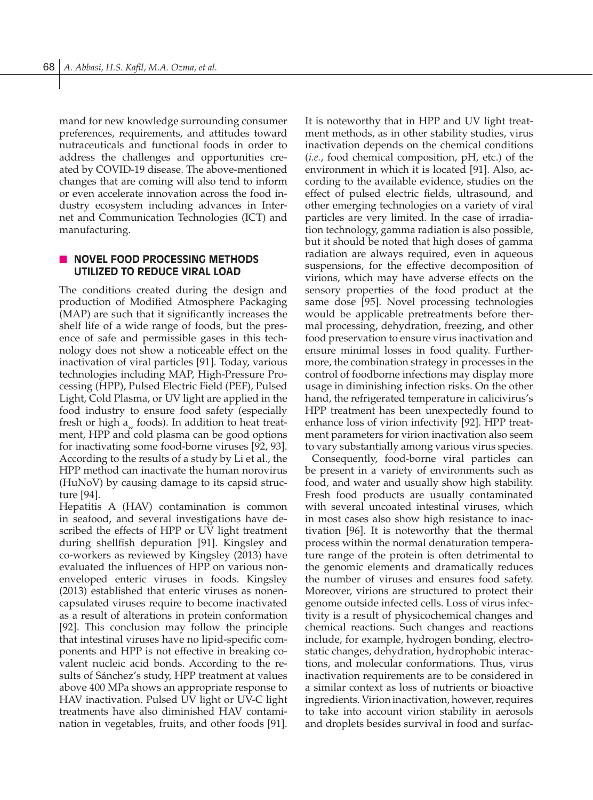mand for new knowledge surrounding consumer preferences, requirements, and attitudes toward nutraceuticals and functional foods in order to address the challenges and opportunities created by COVID-19 disease. The above-mentioned changes that are coming will also tend to inform or even accelerate innovation across the food industry ecosystem including advances in Internet and Communication Technologies (ICT) and manufacturing.

## **NOVEL FOOD PROCESSING METHODS UTILIZED TO REDUCE VIRAL LOAD**

The conditions created during the design and production of Modified Atmosphere Packaging (MAP) are such that it significantly increases the shelf life of a wide range of foods, but the presence of safe and permissible gases in this technology does not show a noticeable effect on the inactivation of viral particles [91]. Today, various technologies including MAP, High-Pressure Processing (HPP), Pulsed Electric Field (PEF), Pulsed Light, Cold Plasma, or UV light are applied in the food industry to ensure food safety (especially fresh or high  $a_{\mu}$  foods). In addition to heat treatment, HPP and cold plasma can be good options for inactivating some food-borne viruses [92, 93]. According to the results of a study by Li et al., the HPP method can inactivate the human norovirus (HuNoV) by causing damage to its capsid structure [94].

Hepatitis A (HAV) contamination is common in seafood, and several investigations have described the effects of HPP or UV light treatment during shellfish depuration [91]. Kingsley and co-workers as reviewed by Kingsley (2013) have evaluated the influences of HPP on various nonenveloped enteric viruses in foods. Kingsley (2013) established that enteric viruses as nonencapsulated viruses require to become inactivated as a result of alterations in protein conformation [92]. This conclusion may follow the principle that intestinal viruses have no lipid-specific components and HPP is not effective in breaking covalent nucleic acid bonds. According to the results of Sánchez's study, HPP treatment at values above 400 MPa shows an appropriate response to HAV inactivation. Pulsed UV light or UV-C light treatments have also diminished HAV contamination in vegetables, fruits, and other foods [91].

It is noteworthy that in HPP and UV light treatment methods, as in other stability studies, virus inactivation depends on the chemical conditions (*i.e.*, food chemical composition, pH, etc.) of the environment in which it is located [91]. Also, according to the available evidence, studies on the effect of pulsed electric fields, ultrasound, and other emerging technologies on a variety of viral particles are very limited. In the case of irradiation technology, gamma radiation is also possible, but it should be noted that high doses of gamma radiation are always required, even in aqueous suspensions, for the effective decomposition of virions, which may have adverse effects on the sensory properties of the food product at the same dose [95]. Novel processing technologies would be applicable pretreatments before thermal processing, dehydration, freezing, and other food preservation to ensure virus inactivation and ensure minimal losses in food quality. Furthermore, the combination strategy in processes in the control of foodborne infections may display more usage in diminishing infection risks. On the other hand, the refrigerated temperature in calicivirus's HPP treatment has been unexpectedly found to enhance loss of virion infectivity [92]. HPP treatment parameters for virion inactivation also seem to vary substantially among various virus species.

 Consequently, food-borne viral particles can be present in a variety of environments such as food, and water and usually show high stability. Fresh food products are usually contaminated with several uncoated intestinal viruses, which in most cases also show high resistance to inactivation [96]. It is noteworthy that the thermal process within the normal denaturation temperature range of the protein is often detrimental to the genomic elements and dramatically reduces the number of viruses and ensures food safety. Moreover, virions are structured to protect their genome outside infected cells. Loss of virus infectivity is a result of physicochemical changes and chemical reactions. Such changes and reactions include, for example, hydrogen bonding, electrostatic changes, dehydration, hydrophobic interactions, and molecular conformations. Thus, virus inactivation requirements are to be considered in a similar context as loss of nutrients or bioactive ingredients. Virion inactivation, however, requires to take into account virion stability in aerosols and droplets besides survival in food and surfac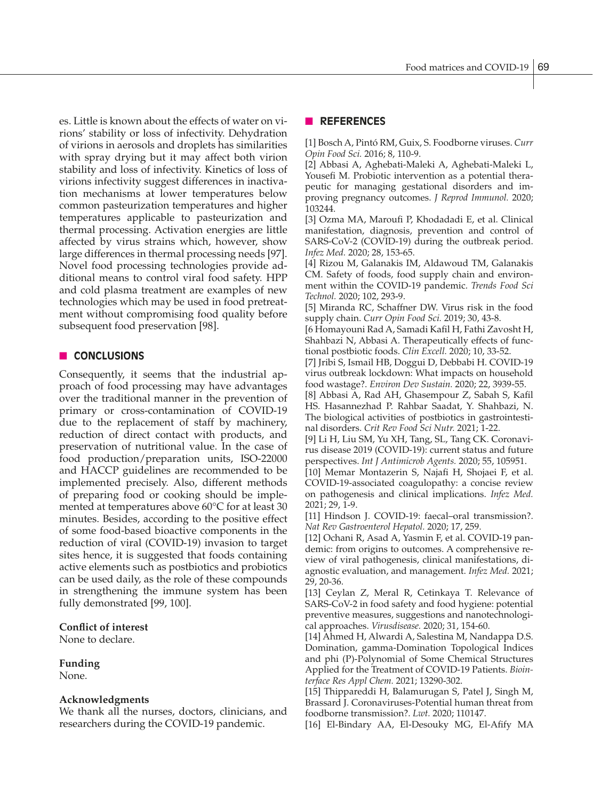es. Little is known about the effects of water on virions' stability or loss of infectivity. Dehydration of virions in aerosols and droplets has similarities with spray drying but it may affect both virion stability and loss of infectivity. Kinetics of loss of virions infectivity suggest differences in inactivation mechanisms at lower temperatures below common pasteurization temperatures and higher temperatures applicable to pasteurization and thermal processing. Activation energies are little affected by virus strains which, however, show large differences in thermal processing needs [97]. Novel food processing technologies provide additional means to control viral food safety. HPP and cold plasma treatment are examples of new technologies which may be used in food pretreatment without compromising food quality before subsequent food preservation [98].

# **n CONCLUSIONS**

Consequently, it seems that the industrial approach of food processing may have advantages over the traditional manner in the prevention of primary or cross-contamination of COVID-19 due to the replacement of staff by machinery, reduction of direct contact with products, and preservation of nutritional value. In the case of food production/preparation units, ISO-22000 and HACCP guidelines are recommended to be implemented precisely. Also, different methods of preparing food or cooking should be implemented at temperatures above 60°C for at least 30 minutes. Besides, according to the positive effect of some food-based bioactive components in the reduction of viral (COVID-19) invasion to target sites hence, it is suggested that foods containing active elements such as postbiotics and probiotics can be used daily, as the role of these compounds in strengthening the immune system has been fully demonstrated [99, 100].

## **Conflict of interest**

None to declare.

## **Funding**

None.

## **Acknowledgments**

We thank all the nurses, doctors, clinicians, and researchers during the COVID-19 pandemic.

## n **REFERENCES**

[1] Bosch A, Pintó RM, Guix, S. Foodborne viruses. *Curr Opin Food Sci.* 2016; 8, 110-9.

[2] Abbasi A, Aghebati-Maleki A, Aghebati-Maleki L, Yousefi M. Probiotic intervention as a potential therapeutic for managing gestational disorders and improving pregnancy outcomes. *J Reprod Immunol.* 2020; 103244.

[3] Ozma MA, Maroufi P, Khodadadi E, et al. Clinical manifestation, diagnosis, prevention and control of SARS-CoV-2 (COVID-19) during the outbreak period. *Infez Med.* 2020; 28, 153-65.

[4] Rizou M, Galanakis IM, Aldawoud TM, Galanakis CM. Safety of foods, food supply chain and environment within the COVID-19 pandemic. *Trends Food Sci Technol.* 2020; 102, 293-9.

[5] Miranda RC, Schaffner DW. Virus risk in the food supply chain. *Curr Opin Food Sci.* 2019; 30, 43-8.

[6 Homayouni Rad A, Samadi Kafil H, Fathi Zavosht H, Shahbazi N, Abbasi A. Therapeutically effects of functional postbiotic foods. *Clin Excell.* 2020; 10, 33-52.

[7] Jribi S, Ismail HB, Doggui D, Debbabi H. COVID-19 virus outbreak lockdown: What impacts on household food wastage?. *Environ Dev Sustain.* 2020; 22, 3939-55.

[8] Abbasi A, Rad AH, Ghasempour Z, Sabah S, Kafil HS. Hasannezhad P. Rahbar Saadat, Y. Shahbazi, N. The biological activities of postbiotics in gastrointestinal disorders. *Crit Rev Food Sci Nutr.* 2021; 1-22.

[9] Li H, Liu SM, Yu XH, Tang, SL, Tang CK. Coronavirus disease 2019 (COVID-19): current status and future perspectives. *Int J Antimicrob Agents.* 2020; 55, 105951.

[10] Memar Montazerin S, Najafi H, Shojaei F, et al. COVID-19-associated coagulopathy: a concise review on pathogenesis and clinical implications. *Infez Med.*  2021; 29, 1-9.

[11] Hindson J. COVID-19: faecal–oral transmission?. *Nat Rev Gastroenterol Hepatol.* 2020; 17, 259.

[12] Ochani R, Asad A, Yasmin F, et al. COVID-19 pandemic: from origins to outcomes. A comprehensive review of viral pathogenesis, clinical manifestations, diagnostic evaluation, and management. *Infez Med.* 2021; 29, 20-36.

[13] Ceylan Z, Meral R, Cetinkaya T. Relevance of SARS-CoV-2 in food safety and food hygiene: potential preventive measures, suggestions and nanotechnological approaches. *Virusdisease.* 2020; 31, 154-60.

[14] Ahmed H, Alwardi A, Salestina M, Nandappa D.S. Domination, gamma-Domination Topological Indices and phi (P)-Polynomial of Some Chemical Structures Applied for the Treatment of COVID-19 Patients. *Biointerface Res Appl Chem.* 2021; 13290-302.

[15] Thippareddi H, Balamurugan S, Patel J, Singh M, Brassard J. Coronaviruses-Potential human threat from foodborne transmission?. *Lwt.* 2020; 110147.

[16] El-Bindary AA, El-Desouky MG, El-Afify MA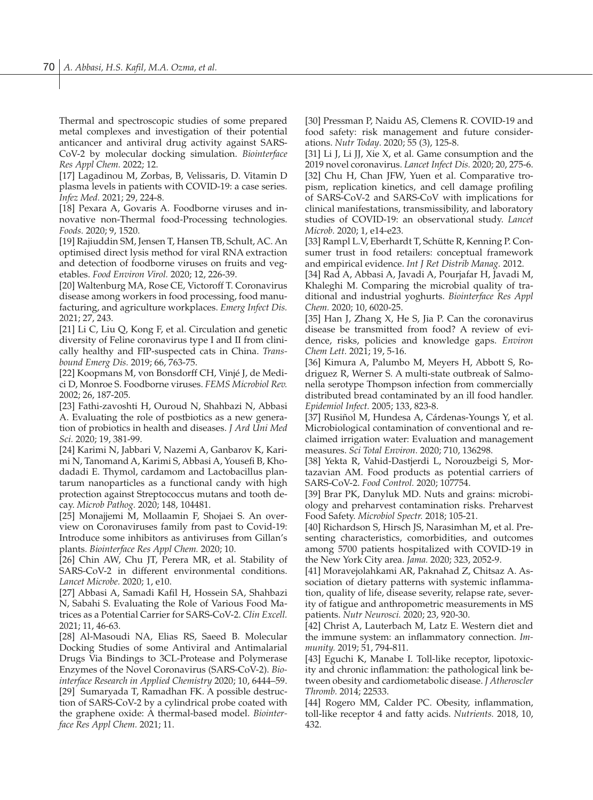Thermal and spectroscopic studies of some prepared metal complexes and investigation of their potential anticancer and antiviral drug activity against SARS-CoV-2 by molecular docking simulation. *Biointerface Res Appl Chem.* 2022; 12.

[17] Lagadinou M, Zorbas, B, Velissaris, D. Vitamin D plasma levels in patients with COVID-19: a case series. *Infez Med.* 2021; 29, 224-8.

[18] Pexara A, Govaris A. Foodborne viruses and innovative non-Thermal food-Processing technologies. *Foods.* 2020; 9, 1520.

[19] Rajiuddin SM, Jensen T, Hansen TB, Schult, AC. An optimised direct lysis method for viral RNA extraction and detection of foodborne viruses on fruits and vegetables. *Food Environ Virol.* 2020; 12, 226-39.

[20] Waltenburg MA, Rose CE, Victoroff T. Coronavirus disease among workers in food processing, food manufacturing, and agriculture workplaces. *Emerg Infect Dis.*  2021; 27, 243.

[21] Li C, Liu Q, Kong F, et al. Circulation and genetic diversity of Feline coronavirus type I and II from clinically healthy and FIP-suspected cats in China. *Transbound Emerg Dis.* 2019; 66, 763-75.

[22] Koopmans M, von Bonsdorff CH, Vinjé J, de Medici D, Monroe S. Foodborne viruses. *FEMS Microbiol Rev.*  2002; 26, 187-205.

[23] Fathi-zavoshti H, Ouroud N, Shahbazi N, Abbasi A. Evaluating the role of postbiotics as a new generation of probiotics in health and diseases. *J Ard Uni Med Sci.* 2020; 19, 381-99.

[24] Karimi N, Jabbari V, Nazemi A, Ganbarov K, Karimi N, Tanomand A, Karimi S, Abbasi A, Yousefi B, Khodadadi E. Thymol, cardamom and Lactobacillus plantarum nanoparticles as a functional candy with high protection against Streptococcus mutans and tooth decay. *Microb Pathog.* 2020; 148, 104481.

[25] Monajjemi M, Mollaamin F, Shojaei S. An overview on Coronaviruses family from past to Covid-19: Introduce some inhibitors as antiviruses from Gillan's plants. *Biointerface Res Appl Chem.* 2020; 10.

[26] Chin AW, Chu JT, Perera MR, et al. Stability of SARS-CoV-2 in different environmental conditions. *Lancet Microbe.* 2020; 1, e10.

[27] Abbasi A, Samadi Kafil H, Hossein SA, Shahbazi N, Sabahi S. Evaluating the Role of Various Food Matrices as a Potential Carrier for SARS-CoV-2. *Clin Excell.*  2021; 11, 46-63.

[28] Al-Masoudi NA, Elias RS, Saeed B. Molecular Docking Studies of some Antiviral and Antimalarial Drugs Via Bindings to 3CL-Protease and Polymerase Enzymes of the Novel Coronavirus (SARS-CoV-2). *Biointerface Research in Applied Chemistry* 2020; 10, 6444–59. [29] Sumaryada T, Ramadhan FK. A possible destruction of SARS-CoV-2 by a cylindrical probe coated with the graphene oxide: A thermal-based model. *Biointerface Res Appl Chem.* 2021; 11.

[30] Pressman P, Naidu AS, Clemens R. COVID-19 and food safety: risk management and future considerations. *Nutr Today*. 2020; 55 (3), 125-8.

[31] Li J, Li JJ, Xie X, et al. Game consumption and the 2019 novel coronavirus. *Lancet Infect Dis.* 2020; 20, 275-6. [32] Chu H, Chan JFW, Yuen et al. Comparative tropism, replication kinetics, and cell damage profiling of SARS-CoV-2 and SARS-CoV with implications for clinical manifestations, transmissibility, and laboratory studies of COVID-19: an observational study. *Lancet Microb.* 2020; 1, e14-e23.

[33] Rampl L.V, Eberhardt T, Schütte R, Kenning P. Consumer trust in food retailers: conceptual framework and empirical evidence. *Int J Ret Distrib Manag.* 2012.

[34] Rad A, Abbasi A, Javadi A, Pourjafar H, Javadi M, Khaleghi M. Comparing the microbial quality of traditional and industrial yoghurts. *Biointerface Res Appl Chem.* 2020; 10, 6020-25.

[35] Han J, Zhang X, He S, Jia P. Can the coronavirus disease be transmitted from food? A review of evidence, risks, policies and knowledge gaps. *Environ Chem Lett.* 2021; 19, 5-16.

[36] Kimura A, Palumbo M, Meyers H, Abbott S, Rodriguez R, Werner S. A multi-state outbreak of Salmonella serotype Thompson infection from commercially distributed bread contaminated by an ill food handler. *Epidemiol Infect.* 2005; 133, 823-8.

[37] Rusiñol M, Hundesa A, Cárdenas-Youngs Y, et al. Microbiological contamination of conventional and reclaimed irrigation water: Evaluation and management measures. *Sci Total Environ.* 2020; 710, 136298.

[38] Yekta R, Vahid-Dastjerdi L, Norouzbeigi S, Mortazavian AM. Food products as potential carriers of SARS-CoV-2. *Food Control.* 2020; 107754.

[39] Brar PK, Danyluk MD. Nuts and grains: microbiology and preharvest contamination risks. Preharvest Food Safety. *Microbiol Spectr.* 2018; 105-21.

[40] Richardson S, Hirsch JS, Narasimhan M, et al. Presenting characteristics, comorbidities, and outcomes among 5700 patients hospitalized with COVID-19 in the New York City area. *Jama.* 2020; 323, 2052-9.

[41] Moravejolahkami AR, Paknahad Z, Chitsaz A. Association of dietary patterns with systemic inflammation, quality of life, disease severity, relapse rate, severity of fatigue and anthropometric measurements in MS patients. *Nutr Neurosci.* 2020; 23, 920-30.

[42] Christ A, Lauterbach M, Latz E. Western diet and the immune system: an inflammatory connection. *Immunity.* 2019; 51, 794-811.

[43] Eguchi K, Manabe I. Toll-like receptor, lipotoxicity and chronic inflammation: the pathological link between obesity and cardiometabolic disease. *J Atheroscler Thromb.* 2014; 22533.

[44] Rogero MM, Calder PC. Obesity, inflammation, toll-like receptor 4 and fatty acids. *Nutrients.* 2018, 10, 432.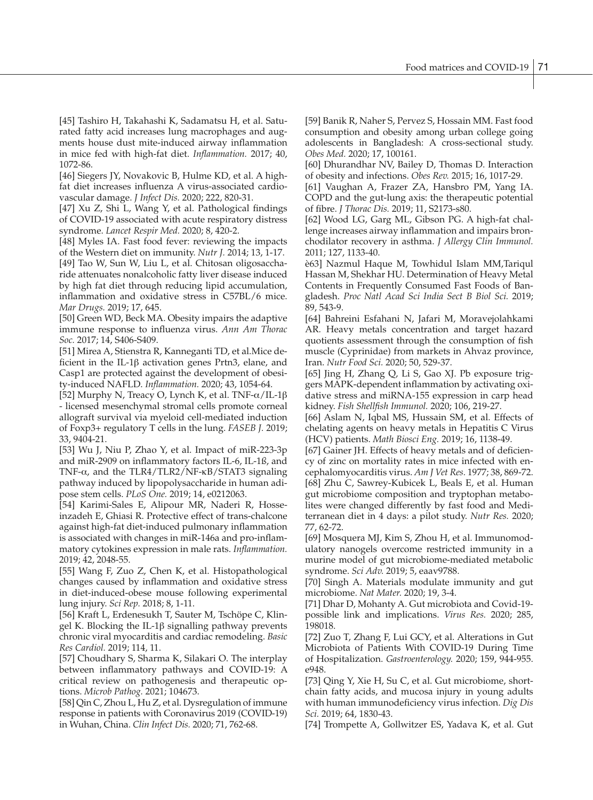[45] Tashiro H, Takahashi K, Sadamatsu H, et al. Saturated fatty acid increases lung macrophages and augments house dust mite-induced airway inflammation in mice fed with high-fat diet. *Inflammation.* 2017; 40, 1072-86.

[46] Siegers JY, Novakovic B, Hulme KD, et al. A highfat diet increases influenza A virus-associated cardiovascular damage. *J Infect Dis.* 2020; 222, 820-31.

[47] Xu Z, Shi L, Wang Y, et al. Pathological findings of COVID-19 associated with acute respiratory distress syndrome. *Lancet Respir Med.* 2020; 8, 420-2.

[48] Myles IA. Fast food fever: reviewing the impacts of the Western diet on immunity. *Nutr J.* 2014; 13, 1-17. [49] Tao W, Sun W, Liu L, et al. Chitosan oligosaccharide attenuates nonalcoholic fatty liver disease induced by high fat diet through reducing lipid accumulation, inflammation and oxidative stress in C57BL/6 mice. *Mar Drugs.* 2019; 17, 645.

[50] Green WD, Beck MA. Obesity impairs the adaptive immune response to influenza virus. *Ann Am Thorac Soc.* 2017; 14, S406-S409.

[51] Mirea A, Stienstra R, Kanneganti TD, et al.Mice deficient in the IL-1β activation genes Prtn3, elane, and Casp1 are protected against the development of obesity-induced NAFLD. *Inflammation.* 2020; 43, 1054-64.

[52] Murphy N, Treacy O, Lynch K, et al. TNF-α/IL-1β - licensed mesenchymal stromal cells promote corneal allograft survival via myeloid cell-mediated induction of Foxp3+ regulatory T cells in the lung. *FASEB J.* 2019; 33, 9404-21.

[53] Wu J, Niu P, Zhao Y, et al. Impact of miR-223-3p and miR-2909 on inflammatory factors IL-6, IL-1ß, and TNF-α, and the TLR4/TLR2/NF-κB/STAT3 signaling pathway induced by lipopolysaccharide in human adipose stem cells. *PLoS One.* 2019; 14, e0212063.

[54] Karimi-Sales E, Alipour MR, Naderi R, Hosseinzadeh E, Ghiasi R. Protective effect of trans-chalcone against high-fat diet-induced pulmonary inflammation is associated with changes in miR-146a and pro-inflammatory cytokines expression in male rats. *Inflammation.*  2019; 42, 2048-55.

[55] Wang F, Zuo Z, Chen K, et al. Histopathological changes caused by inflammation and oxidative stress in diet-induced-obese mouse following experimental lung injury. *Sci Rep.* 2018; 8, 1-11.

[56] Kraft L, Erdenesukh T, Sauter M, Tschöpe C, Klingel K. Blocking the IL-1β signalling pathway prevents chronic viral myocarditis and cardiac remodeling. *Basic Res Cardiol.* 2019; 114, 11.

[57] Choudhary S, Sharma K, Silakari O. The interplay between inflammatory pathways and COVID-19: A critical review on pathogenesis and therapeutic options. *Microb Pathog.* 2021; 104673.

[58] Qin C, Zhou L, Hu Z, et al. Dysregulation of immune response in patients with Coronavirus 2019 (COVID-19) in Wuhan, China. *Clin Infect Dis.* 2020; 71, 762-68.

[59] Banik R, Naher S, Pervez S, Hossain MM. Fast food consumption and obesity among urban college going adolescents in Bangladesh: A cross-sectional study. *Obes Med.* 2020; 17, 100161.

[60] Dhurandhar NV, Bailey D, Thomas D. Interaction of obesity and infections. *Obes Rev.* 2015; 16, 1017-29.

[61] Vaughan A, Frazer ZA, Hansbro PM, Yang IA. COPD and the gut-lung axis: the therapeutic potential of fibre. *J Thorac Dis.* 2019; 11, S2173-s80.

[62] Wood LG, Garg ML, Gibson PG. A high-fat challenge increases airway inflammation and impairs bronchodilator recovery in asthma. *J Allergy Clin Immunol.*  2011; 127, 1133-40.

è63] Nazmul Haque M, Towhidul Islam MM,Tariqul Hassan M, Shekhar HU. Determination of Heavy Metal Contents in Frequently Consumed Fast Foods of Bangladesh. *Proc Natl Acad Sci India Sect B Biol Sci.* 2019; 89, 543-9.

[64] Bahreini Esfahani N, Jafari M, Moravejolahkami AR. Heavy metals concentration and target hazard quotients assessment through the consumption of fish muscle (Cyprinidae) from markets in Ahvaz province, Iran. *Nutr Food Sci.* 2020; 50, 529-37.

[65] Jing H, Zhang Q, Li S, Gao XJ. Pb exposure triggers MAPK-dependent inflammation by activating oxidative stress and miRNA-155 expression in carp head kidney. *Fish Shellfish Immunol.* 2020; 106, 219-27.

[66] Aslam N, Iqbal MS, Hussain SM, et al. Effects of chelating agents on heavy metals in Hepatitis C Virus (HCV) patients. *Math Biosci Eng.* 2019; 16, 1138-49.

[67] Gainer JH. Effects of heavy metals and of deficiency of zinc on mortality rates in mice infected with encephalomyocarditis virus. *Am J Vet Res.* 1977; 38, 869-72. [68] Zhu C, Sawrey-Kubicek L, Beals E, et al. Human gut microbiome composition and tryptophan metabolites were changed differently by fast food and Mediterranean diet in 4 days: a pilot study. *Nutr Res.* 2020; 77, 62-72.

[69] Mosquera MJ, Kim S, Zhou H, et al. Immunomodulatory nanogels overcome restricted immunity in a murine model of gut microbiome-mediated metabolic syndrome. *Sci Adv.* 2019; 5, eaav9788.

[70] Singh A. Materials modulate immunity and gut microbiome. *Nat Mater.* 2020; 19, 3-4.

[71] Dhar D, Mohanty A. Gut microbiota and Covid-19 possible link and implications. *Virus Res.* 2020; 285, 198018.

[72] Zuo T, Zhang F, Lui GCY, et al. Alterations in Gut Microbiota of Patients With COVID-19 During Time of Hospitalization. *Gastroenterology.* 2020; 159, 944-955. e948.

[73] Qing Y, Xie H, Su C, et al. Gut microbiome, shortchain fatty acids, and mucosa injury in young adults with human immunodeficiency virus infection. *Dig Dis Sci.* 2019; 64, 1830-43.

[74] Trompette A, Gollwitzer ES, Yadava K, et al. Gut